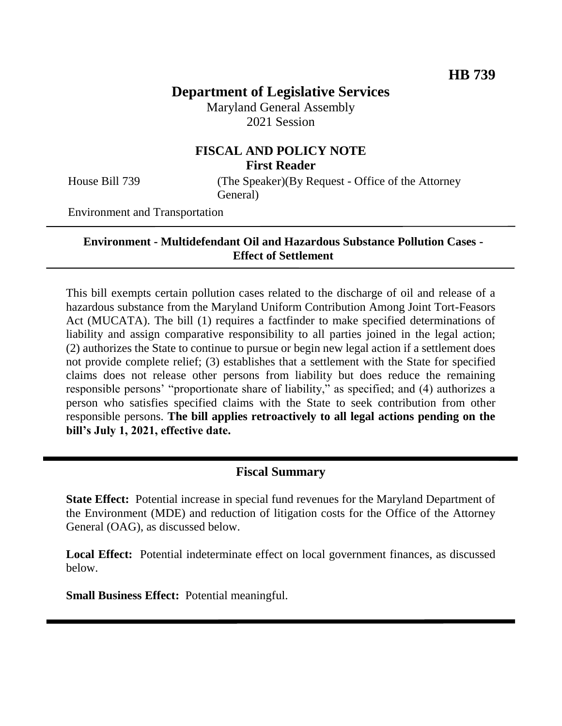# **Department of Legislative Services**

Maryland General Assembly 2021 Session

### **FISCAL AND POLICY NOTE First Reader**

House Bill 739 (The Speaker)(By Request - Office of the Attorney General)

Environment and Transportation

#### **Environment - Multidefendant Oil and Hazardous Substance Pollution Cases - Effect of Settlement**

This bill exempts certain pollution cases related to the discharge of oil and release of a hazardous substance from the Maryland Uniform Contribution Among Joint Tort-Feasors Act (MUCATA). The bill (1) requires a factfinder to make specified determinations of liability and assign comparative responsibility to all parties joined in the legal action; (2) authorizes the State to continue to pursue or begin new legal action if a settlement does not provide complete relief; (3) establishes that a settlement with the State for specified claims does not release other persons from liability but does reduce the remaining responsible persons' "proportionate share of liability," as specified; and (4) authorizes a person who satisfies specified claims with the State to seek contribution from other responsible persons. **The bill applies retroactively to all legal actions pending on the bill's July 1, 2021, effective date.** 

# **Fiscal Summary**

**State Effect:** Potential increase in special fund revenues for the Maryland Department of the Environment (MDE) and reduction of litigation costs for the Office of the Attorney General (OAG), as discussed below.

**Local Effect:** Potential indeterminate effect on local government finances, as discussed below.

**Small Business Effect:** Potential meaningful.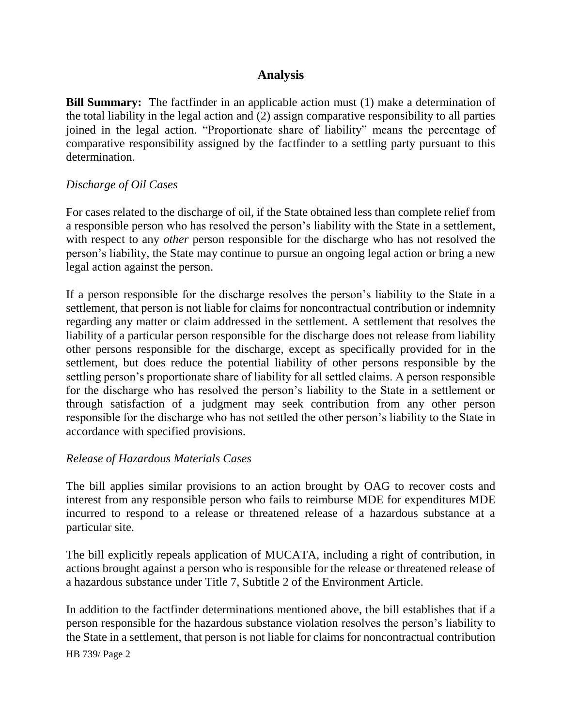# **Analysis**

**Bill Summary:** The factfinder in an applicable action must (1) make a determination of the total liability in the legal action and (2) assign comparative responsibility to all parties joined in the legal action. "Proportionate share of liability" means the percentage of comparative responsibility assigned by the factfinder to a settling party pursuant to this determination.

### *Discharge of Oil Cases*

For cases related to the discharge of oil, if the State obtained less than complete relief from a responsible person who has resolved the person's liability with the State in a settlement, with respect to any *other* person responsible for the discharge who has not resolved the person's liability, the State may continue to pursue an ongoing legal action or bring a new legal action against the person.

If a person responsible for the discharge resolves the person's liability to the State in a settlement, that person is not liable for claims for noncontractual contribution or indemnity regarding any matter or claim addressed in the settlement. A settlement that resolves the liability of a particular person responsible for the discharge does not release from liability other persons responsible for the discharge, except as specifically provided for in the settlement, but does reduce the potential liability of other persons responsible by the settling person's proportionate share of liability for all settled claims. A person responsible for the discharge who has resolved the person's liability to the State in a settlement or through satisfaction of a judgment may seek contribution from any other person responsible for the discharge who has not settled the other person's liability to the State in accordance with specified provisions.

#### *Release of Hazardous Materials Cases*

The bill applies similar provisions to an action brought by OAG to recover costs and interest from any responsible person who fails to reimburse MDE for expenditures MDE incurred to respond to a release or threatened release of a hazardous substance at a particular site.

The bill explicitly repeals application of MUCATA, including a right of contribution, in actions brought against a person who is responsible for the release or threatened release of a hazardous substance under Title 7, Subtitle 2 of the Environment Article.

In addition to the factfinder determinations mentioned above, the bill establishes that if a person responsible for the hazardous substance violation resolves the person's liability to the State in a settlement, that person is not liable for claims for noncontractual contribution

HB 739/ Page 2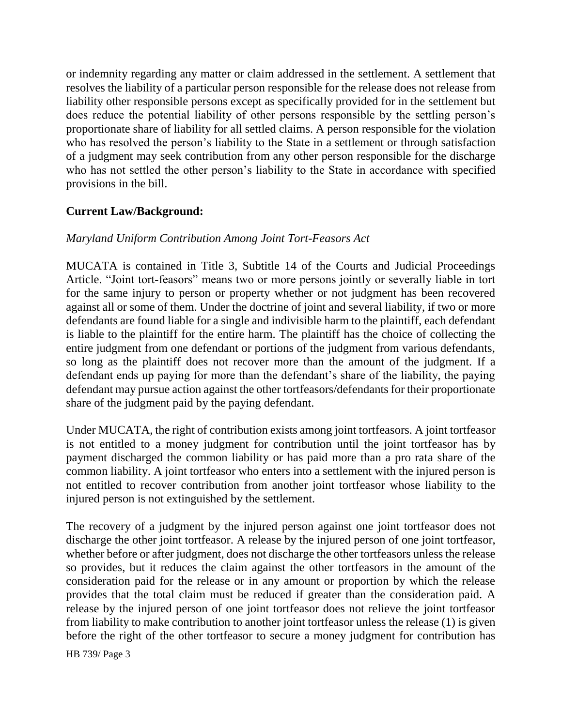or indemnity regarding any matter or claim addressed in the settlement. A settlement that resolves the liability of a particular person responsible for the release does not release from liability other responsible persons except as specifically provided for in the settlement but does reduce the potential liability of other persons responsible by the settling person's proportionate share of liability for all settled claims. A person responsible for the violation who has resolved the person's liability to the State in a settlement or through satisfaction of a judgment may seek contribution from any other person responsible for the discharge who has not settled the other person's liability to the State in accordance with specified provisions in the bill.

# **Current Law/Background:**

### *Maryland Uniform Contribution Among Joint Tort-Feasors Act*

MUCATA is contained in Title 3, Subtitle 14 of the Courts and Judicial Proceedings Article. "Joint tort-feasors" means two or more persons jointly or severally liable in tort for the same injury to person or property whether or not judgment has been recovered against all or some of them. Under the doctrine of joint and several liability, if two or more defendants are found liable for a single and indivisible harm to the plaintiff, each defendant is liable to the plaintiff for the entire harm. The plaintiff has the choice of collecting the entire judgment from one defendant or portions of the judgment from various defendants, so long as the plaintiff does not recover more than the amount of the judgment. If a defendant ends up paying for more than the defendant's share of the liability, the paying defendant may pursue action against the other tortfeasors/defendants for their proportionate share of the judgment paid by the paying defendant.

Under MUCATA, the right of contribution exists among joint tortfeasors. A joint tortfeasor is not entitled to a money judgment for contribution until the joint tortfeasor has by payment discharged the common liability or has paid more than a pro rata share of the common liability. A joint tortfeasor who enters into a settlement with the injured person is not entitled to recover contribution from another joint tortfeasor whose liability to the injured person is not extinguished by the settlement.

The recovery of a judgment by the injured person against one joint tortfeasor does not discharge the other joint tortfeasor. A release by the injured person of one joint tortfeasor, whether before or after judgment, does not discharge the other tortfeasors unless the release so provides, but it reduces the claim against the other tortfeasors in the amount of the consideration paid for the release or in any amount or proportion by which the release provides that the total claim must be reduced if greater than the consideration paid. A release by the injured person of one joint tortfeasor does not relieve the joint tortfeasor from liability to make contribution to another joint tortfeasor unless the release (1) is given before the right of the other tortfeasor to secure a money judgment for contribution has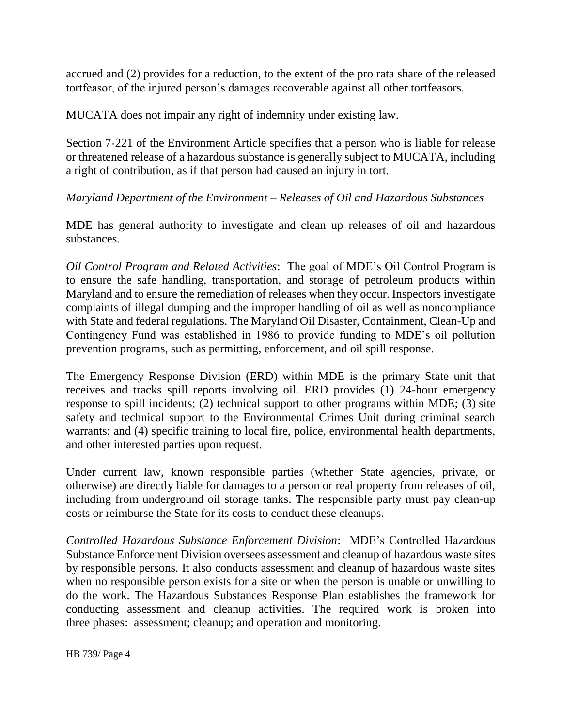accrued and (2) provides for a reduction, to the extent of the pro rata share of the released tortfeasor, of the injured person's damages recoverable against all other tortfeasors.

MUCATA does not impair any right of indemnity under existing law.

Section 7-221 of the Environment Article specifies that a person who is liable for release or threatened release of a hazardous substance is generally subject to MUCATA, including a right of contribution, as if that person had caused an injury in tort.

### *Maryland Department of the Environment – Releases of Oil and Hazardous Substances*

MDE has general authority to investigate and clean up releases of oil and hazardous substances.

*Oil Control Program and Related Activities*: The goal of MDE's Oil Control Program is to ensure the safe handling, transportation, and storage of petroleum products within Maryland and to ensure the remediation of releases when they occur. Inspectors investigate complaints of illegal dumping and the improper handling of oil as well as noncompliance with State and federal regulations. The Maryland Oil Disaster, Containment, Clean-Up and Contingency Fund was established in 1986 to provide funding to MDE's oil pollution prevention programs, such as permitting, enforcement, and oil spill response.

The Emergency Response Division (ERD) within MDE is the primary State unit that receives and tracks spill reports involving oil. ERD provides (1) 24-hour emergency response to spill incidents; (2) technical support to other programs within MDE; (3) site safety and technical support to the Environmental Crimes Unit during criminal search warrants; and (4) specific training to local fire, police, environmental health departments, and other interested parties upon request.

Under current law, known responsible parties (whether State agencies, private, or otherwise) are directly liable for damages to a person or real property from releases of oil, including from underground oil storage tanks. The responsible party must pay clean-up costs or reimburse the State for its costs to conduct these cleanups.

*Controlled Hazardous Substance Enforcement Division*: MDE's Controlled Hazardous Substance Enforcement Division oversees assessment and cleanup of hazardous waste sites by responsible persons. It also conducts assessment and cleanup of hazardous waste sites when no responsible person exists for a site or when the person is unable or unwilling to do the work. The Hazardous Substances Response Plan establishes the framework for conducting assessment and cleanup activities. The required work is broken into three phases: assessment; cleanup; and operation and monitoring.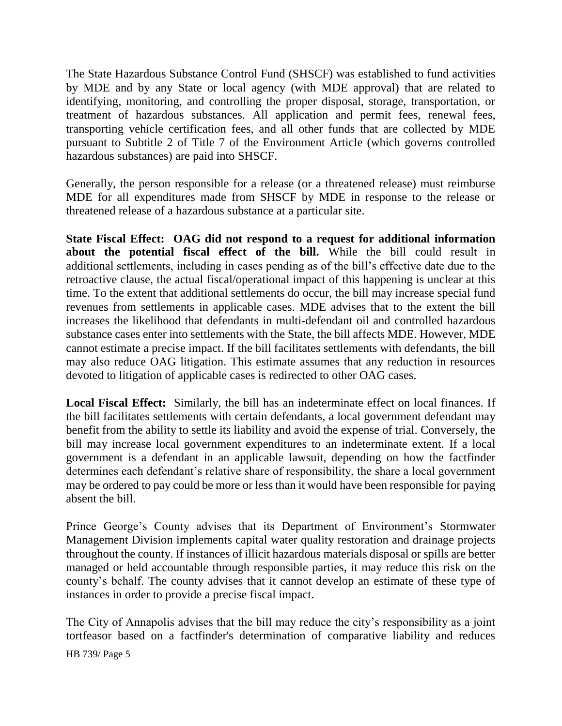The State Hazardous Substance Control Fund (SHSCF) was established to fund activities by MDE and by any State or local agency (with MDE approval) that are related to identifying, monitoring, and controlling the proper disposal, storage, transportation, or treatment of hazardous substances. All application and permit fees, renewal fees, transporting vehicle certification fees, and all other funds that are collected by MDE pursuant to Subtitle 2 of Title 7 of the Environment Article (which governs controlled hazardous substances) are paid into SHSCF.

Generally, the person responsible for a release (or a threatened release) must reimburse MDE for all expenditures made from SHSCF by MDE in response to the release or threatened release of a hazardous substance at a particular site.

**State Fiscal Effect: OAG did not respond to a request for additional information about the potential fiscal effect of the bill.** While the bill could result in additional settlements, including in cases pending as of the bill's effective date due to the retroactive clause, the actual fiscal/operational impact of this happening is unclear at this time. To the extent that additional settlements do occur, the bill may increase special fund revenues from settlements in applicable cases. MDE advises that to the extent the bill increases the likelihood that defendants in multi-defendant oil and controlled hazardous substance cases enter into settlements with the State, the bill affects MDE. However, MDE cannot estimate a precise impact. If the bill facilitates settlements with defendants, the bill may also reduce OAG litigation. This estimate assumes that any reduction in resources devoted to litigation of applicable cases is redirected to other OAG cases.

**Local Fiscal Effect:** Similarly, the bill has an indeterminate effect on local finances. If the bill facilitates settlements with certain defendants, a local government defendant may benefit from the ability to settle its liability and avoid the expense of trial. Conversely, the bill may increase local government expenditures to an indeterminate extent. If a local government is a defendant in an applicable lawsuit, depending on how the factfinder determines each defendant's relative share of responsibility, the share a local government may be ordered to pay could be more or less than it would have been responsible for paying absent the bill.

Prince George's County advises that its Department of Environment's Stormwater Management Division implements capital water quality restoration and drainage projects throughout the county. If instances of illicit hazardous materials disposal or spills are better managed or held accountable through responsible parties, it may reduce this risk on the county's behalf. The county advises that it cannot develop an estimate of these type of instances in order to provide a precise fiscal impact.

The City of Annapolis advises that the bill may reduce the city's responsibility as a joint tortfeasor based on a factfinder's determination of comparative liability and reduces